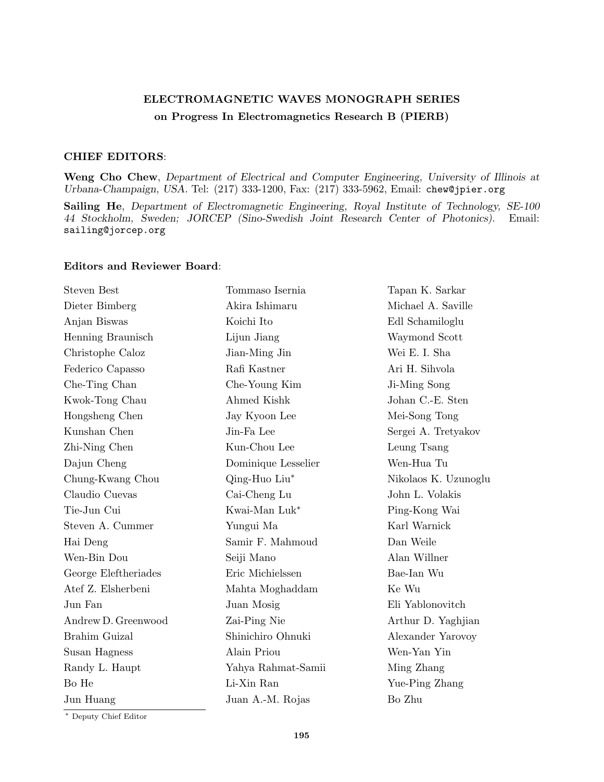## ELECTROMAGNETIC WAVES MONOGRAPH SERIES on Progress In Electromagnetics Research B (PIERB)

## CHIEF EDITORS:

Weng Cho Chew, Department of Electrical and Computer Engineering, University of Illinois at Urbana-Champaign, USA. Tel: (217) 333-1200, Fax: (217) 333-5962, Email: chew@jpier.org

Sailing He, Department of Electromagnetic Engineering, Royal Institute of Technology, SE-100 44 Stockholm, Sweden; JORCEP (Sino-Swedish Joint Research Center of Photonics). Email: sailing@jorcep.org

## Editors and Reviewer Board:

| <b>Steven Best</b>   | Tommaso Isernia     | Tapan K. Sarkar      |
|----------------------|---------------------|----------------------|
| Dieter Bimberg       | Akira Ishimaru      | Michael A. Saville   |
| Anjan Biswas         | Koichi Ito          | Edl Schamiloglu      |
| Henning Braunisch    | Lijun Jiang         | Waymond Scott        |
| Christophe Caloz     | Jian-Ming Jin       | Wei E. I. Sha        |
| Federico Capasso     | Rafi Kastner        | Ari H. Sihvola       |
| Che-Ting Chan        | Che-Young Kim       | Ji-Ming Song         |
| Kwok-Tong Chau       | Ahmed Kishk         | Johan C.-E. Sten     |
| Hongsheng Chen       | Jay Kyoon Lee       | Mei-Song Tong        |
| Kunshan Chen         | Jin-Fa Lee          | Sergei A. Tretyakov  |
| Zhi-Ning Chen        | Kun-Chou Lee        | Leung Tsang          |
| Dajun Cheng          | Dominique Lesselier | Wen-Hua Tu           |
| Chung-Kwang Chou     | Qing-Huo Liu*       | Nikolaos K. Uzunoglu |
| Claudio Cuevas       | Cai-Cheng Lu        | John L. Volakis      |
| Tie-Jun Cui          | Kwai-Man Luk*       | Ping-Kong Wai        |
| Steven A. Cummer     | Yungui Ma           | Karl Warnick         |
| Hai Deng             | Samir F. Mahmoud    | Dan Weile            |
| Wen-Bin Dou          | Seiji Mano          | Alan Willner         |
| George Eleftheriades | Eric Michielssen    | Bae-Ian Wu           |
| Atef Z. Elsherbeni   | Mahta Moghaddam     | Ke Wu                |
| Jun Fan              | Juan Mosig          | Eli Yablonovitch     |
| Andrew D. Greenwood  | Zai-Ping Nie        | Arthur D. Yaghjian   |
| Brahim Guizal        | Shinichiro Ohnuki   | Alexander Yarovoy    |
| Susan Hagness        | Alain Priou         | Wen-Yan Yin          |
| Randy L. Haupt       | Yahya Rahmat-Samii  | Ming Zhang           |
| Bo He                | Li-Xin Ran          | Yue-Ping Zhang       |
| Jun Huang            | Juan A.-M. Rojas    | Bo Zhu               |
|                      |                     |                      |

<sup>∗</sup> Deputy Chief Editor